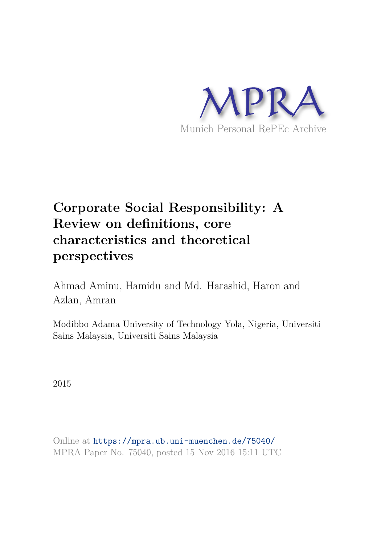

# **Corporate Social Responsibility: A Review on definitions, core characteristics and theoretical perspectives**

Ahmad Aminu, Hamidu and Md. Harashid, Haron and Azlan, Amran

Modibbo Adama University of Technology Yola, Nigeria, Universiti Sains Malaysia, Universiti Sains Malaysia

2015

Online at https://mpra.ub.uni-muenchen.de/75040/ MPRA Paper No. 75040, posted 15 Nov 2016 15:11 UTC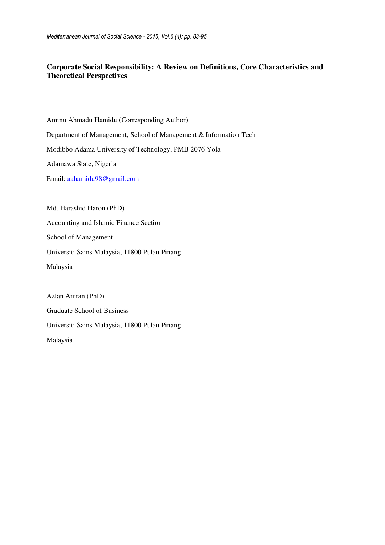# **Corporate Social Responsibility: A Review on Definitions, Core Characteristics and Theoretical Perspectives**

Aminu Ahmadu Hamidu (Corresponding Author) Department of Management, School of Management & Information Tech Modibbo Adama University of Technology, PMB 2076 Yola Adamawa State, Nigeria Email: [aahamidu98@gmail.com](mailto:aahamidu98@gmail.com)

Md. Harashid Haron (PhD) Accounting and Islamic Finance Section School of Management Universiti Sains Malaysia, 11800 Pulau Pinang Malaysia

Azlan Amran (PhD) Graduate School of Business Universiti Sains Malaysia, 11800 Pulau Pinang Malaysia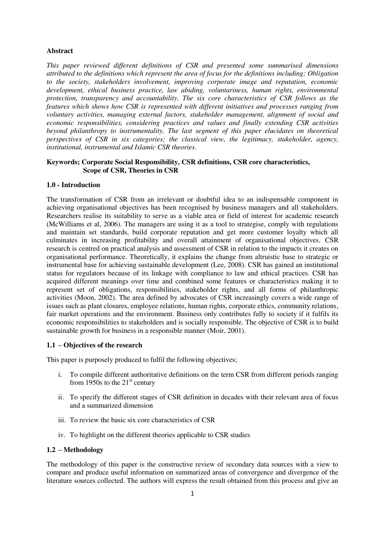#### **Abstract**

*This paper reviewed different definitions of CSR and presented some summarised dimensions attributed to the definitions which represent the area of focus for the definitions including; Obligation to the society, stakeholders involvement, improving corporate image and reputation, economic development, ethical business practice, law abiding, voluntariness, human rights, environmental protection, transparency and accountability. The six core characteristics of CSR follows as the features which shows how CSR is represented with different initiatives and processes ranging from voluntary activities, managing external factors, stakeholder management, alignment of social and economic responsibilities, considering practices and values and finally extending CSR activities beyond philanthropy to instrumentality. The last segment of this paper elucidates on theoretical perspectives of CSR in six categories; the classical view, the legitimacy, stakeholder, agency, institutional, instrumental and Islamic CSR theories.* 

# **Keywords; Corporate Social Responsibility, CSR definitions, CSR core characteristics, Scope of CSR, Theories in CSR**

#### **1.0 - Introduction**

The transformation of CSR from an irrelevant or doubtful idea to an indispensable component in achieving organisational objectives has been recognised by business managers and all stakeholders. Researchers realise its suitability to serve as a viable area or field of interest for academic research (McWilliams et al, 2006). The managers are using it as a tool to strategise, comply with regulations and maintain set standards, build corporate reputation and get more customer loyalty which all culminates in increasing profitability and overall attainment of organisational objectives. CSR research is centred on practical analysis and assessment of CSR in relation to the impacts it creates on organisational performance. Theoretically, it explains the change from altruistic base to strategic or instrumental base for achieving sustainable development (Lee, 2008). CSR has gained an institutional status for regulators because of its linkage with compliance to law and ethical practices. CSR has acquired different meanings over time and combined some features or characteristics making it to represent set of obligations, responsibilities, stakeholder rights, and all forms of philanthropic activities (Moon, 2002). The area defined by advocates of CSR increasingly covers a wide range of issues such as plant closures, employee relations, human rights, corporate ethics, community relations, fair market operations and the environment. Business only contributes fully to society if it fulfils its economic responsibilities to stakeholders and is socially responsible. The objective of CSR is to build sustainable growth for business in a responsible manner (Moir, 2001).

# **1.1 – Objectives of the research**

This paper is purposely produced to fulfil the following objectives;

- i. To compile different authoritative definitions on the term CSR from different periods ranging from 1950s to the  $21<sup>st</sup>$  century
- ii. To specify the different stages of CSR definition in decades with their relevant area of focus and a summarized dimension
- iii. To review the basic six core characteristics of CSR
- iv. To highlight on the different theories applicable to CSR studies

# **1.2 – Methodology**

The methodology of this paper is the constructive review of secondary data sources with a view to compare and produce useful information on summarized areas of convergence and divergence of the literature sources collected. The authors will express the result obtained from this process and give an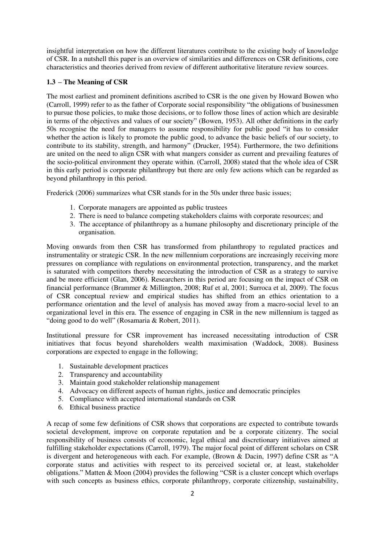insightful interpretation on how the different literatures contribute to the existing body of knowledge of CSR. In a nutshell this paper is an overview of similarities and differences on CSR definitions, core characteristics and theories derived from review of different authoritative literature review sources.

# **1.3 – The Meaning of CSR**

The most earliest and prominent definitions ascribed to CSR is the one given by Howard Bowen who (Carroll, 1999) refer to as the father of Corporate social responsibility "the obligations of businessmen to pursue those policies, to make those decisions, or to follow those lines of action which are desirable in terms of the objectives and values of our society" (Bowen, 1953). All other definitions in the early 50s recognise the need for managers to assume responsibility for public good "it has to consider whether the action is likely to promote the public good, to advance the basic beliefs of our society, to contribute to its stability, strength, and harmony" (Drucker, 1954). Furthermore, the two definitions are united on the need to align CSR with what mangers consider as current and prevailing features of the socio-political environment they operate within. (Carroll, 2008) stated that the whole idea of CSR in this early period is corporate philanthropy but there are only few actions which can be regarded as beyond philanthropy in this period.

Frederick (2006) summarizes what CSR stands for in the 50s under three basic issues;

- 1. Corporate managers are appointed as public trustees
- 2. There is need to balance competing stakeholders claims with corporate resources; and
- 3. The acceptance of philanthropy as a humane philosophy and discretionary principle of the organisation.

Moving onwards from then CSR has transformed from philanthropy to regulated practices and instrumentality or strategic CSR. In the new millennium corporations are increasingly receiving more pressures on compliance with regulations on environmental protection, transparency, and the market is saturated with competitors thereby necessitating the introduction of CSR as a strategy to survive and be more efficient (Glan, 2006). Researchers in this period are focusing on the impact of CSR on financial performance (Brammer & Millington, 2008; Ruf et al, 2001; Surroca et al, 2009). The focus of CSR conceptual review and empirical studies has shifted from an ethics orientation to a performance orientation and the level of analysis has moved away from a macro-social level to an organizational level in this era. The essence of engaging in CSR in the new millennium is tagged as "doing good to do well" (Rosamaria & Robert, 2011).

Institutional pressure for CSR improvement has increased necessitating introduction of CSR initiatives that focus beyond shareholders wealth maximisation (Waddock, 2008). Business corporations are expected to engage in the following;

- 1. Sustainable development practices
- 2. Transparency and accountability
- 3. Maintain good stakeholder relationship management
- 4. Advocacy on different aspects of human rights, justice and democratic principles
- 5. Compliance with accepted international standards on CSR
- 6. Ethical business practice

A recap of some few definitions of CSR shows that corporations are expected to contribute towards societal development, improve on corporate reputation and be a corporate citizenry. The social responsibility of business consists of economic, legal ethical and discretionary initiatives aimed at fulfilling stakeholder expectations (Carroll, 1979). The major focal point of different scholars on CSR is divergent and heterogeneous with each. For example, (Brown & Dacin, 1997) define CSR as "A corporate status and activities with respect to its perceived societal or, at least, stakeholder obligations." Matten & Moon (2004) provides the following "CSR is a cluster concept which overlaps with such concepts as business ethics, corporate philanthropy, corporate citizenship, sustainability,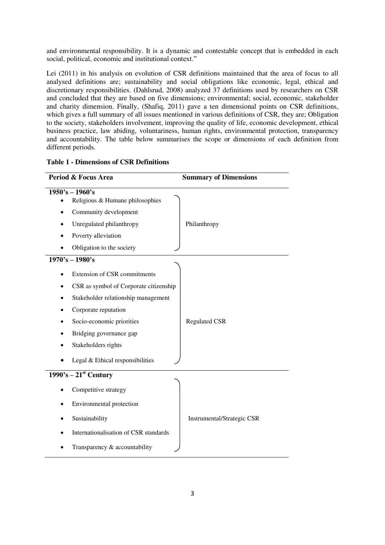and environmental responsibility. It is a dynamic and contestable concept that is embedded in each social, political, economic and institutional context."

Lei (2011) in his analysis on evolution of CSR definitions maintained that the area of focus to all analysed definitions are; sustainability and social obligations like economic, legal, ethical and discretionary responsibilities. (Dahlsrud, 2008) analyzed 37 definitions used by researchers on CSR and concluded that they are based on five dimensions; environmental; social, economic, stakeholder and charity dimension. Finally, (Shafiq, 2011) gave a ten dimensional points on CSR definitions, which gives a full summary of all issues mentioned in various definitions of CSR, they are; Obligation to the society, stakeholders involvement, improving the quality of life, economic development, ethical business practice, law abiding, voluntariness, human rights, environmental protection, transparency and accountability. The table below summarises the scope or dimensions of each definition from different periods.

| Period & Focus Area                                  | <b>Summary of Dimensions</b> |
|------------------------------------------------------|------------------------------|
| $1950's - 1960's$<br>Religious & Humane philosophies |                              |
| Community development                                |                              |
| Unregulated philanthropy                             | Philanthropy                 |
| Poverty alleviation                                  |                              |
| Obligation to the society                            |                              |
| $1970's - 1980's$                                    |                              |
| Extension of CSR commitments                         |                              |
| CSR as symbol of Corporate citizenship               |                              |
| Stakeholder relationship management                  |                              |
| Corporate reputation                                 |                              |
| Socio-economic priorities                            | <b>Regulated CSR</b>         |
| Bridging governance gap                              |                              |
| Stakeholders rights                                  |                              |
| Legal & Ethical responsibilities                     |                              |
| $1990^\circ s - 21^\circ t$ Century                  |                              |
| Competitive strategy                                 |                              |
| Environmental protection                             |                              |
| Sustainability                                       | Instrumental/Strategic CSR   |
| Internationalisation of CSR standards                |                              |
| Transparency & accountability                        |                              |

|  | <b>Table 1 - Dimensions of CSR Definitions</b> |  |  |
|--|------------------------------------------------|--|--|
|--|------------------------------------------------|--|--|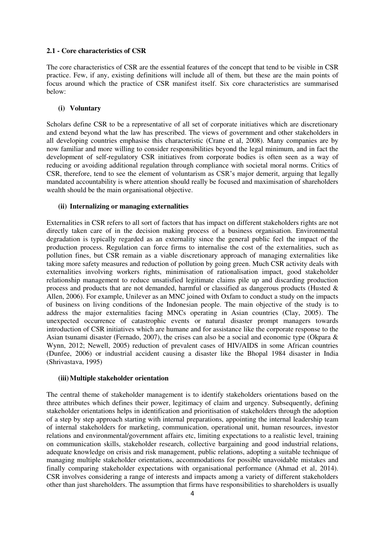#### **2.1 - Core characteristics of CSR**

The core characteristics of CSR are the essential features of the concept that tend to be visible in CSR practice. Few, if any, existing definitions will include all of them, but these are the main points of focus around which the practice of CSR manifest itself. Six core characteristics are summarised below:

#### **(i) Voluntary**

Scholars define CSR to be a representative of all set of corporate initiatives which are discretionary and extend beyond what the law has prescribed. The views of government and other stakeholders in all developing countries emphasise this characteristic (Crane et al, 2008). Many companies are by now familiar and more willing to consider responsibilities beyond the legal minimum, and in fact the development of self-regulatory CSR initiatives from corporate bodies is often seen as a way of reducing or avoiding additional regulation through compliance with societal moral norms. Critics of CSR, therefore, tend to see the element of voluntarism as CSR"s major demerit, arguing that legally mandated accountability is where attention should really be focused and maximisation of shareholders wealth should be the main organisational objective.

#### **(ii) Internalizing or managing externalities**

Externalities in CSR refers to all sort of factors that has impact on different stakeholders rights are not directly taken care of in the decision making process of a business organisation. Environmental degradation is typically regarded as an externality since the general public feel the impact of the production process. Regulation can force firms to internalise the cost of the externalities, such as pollution fines, but CSR remain as a viable discretionary approach of managing externalities like taking more safety measures and reduction of pollution by going green. Much CSR activity deals with externalities involving workers rights, minimisation of rationalisation impact, good stakeholder relationship management to reduce unsatisfied legitimate claims pile up and discarding production process and products that are not demanded, harmful or classified as dangerous products (Husted & Allen, 2006). For example, Unilever as an MNC joined with Oxfam to conduct a study on the impacts of business on living conditions of the Indonesian people. The main objective of the study is to address the major externalities facing MNCs operating in Asian countries (Clay, 2005). The unexpected occurrence of catastrophic events or natural disaster prompt managers towards introduction of CSR initiatives which are humane and for assistance like the corporate response to the Asian tsunami disaster (Fernado, 2007), the crises can also be a social and economic type (Okpara & Wynn, 2012; Newell, 2005) reduction of prevalent cases of HIV/AIDS in some African countries (Dunfee, 2006) or industrial accident causing a disaster like the Bhopal 1984 disaster in India (Shrivastava, 1995)

# **(iii)Multiple stakeholder orientation**

The central theme of stakeholder management is to identify stakeholders orientations based on the three attributes which defines their power, legitimacy of claim and urgency. Subsequently, defining stakeholder orientations helps in identification and prioritisation of stakeholders through the adoption of a step by step approach starting with internal preparations, appointing the internal leadership team of internal stakeholders for marketing, communication, operational unit, human resources, investor relations and environmental/government affairs etc, limiting expectations to a realistic level, training on communication skills, stakeholder research, collective bargaining and good industrial relations, adequate knowledge on crisis and risk management, public relations, adopting a suitable technique of managing multiple stakeholder orientations, accommodations for possible unavoidable mistakes and finally comparing stakeholder expectations with organisational performance (Ahmad et al, 2014). CSR involves considering a range of interests and impacts among a variety of different stakeholders other than just shareholders. The assumption that firms have responsibilities to shareholders is usually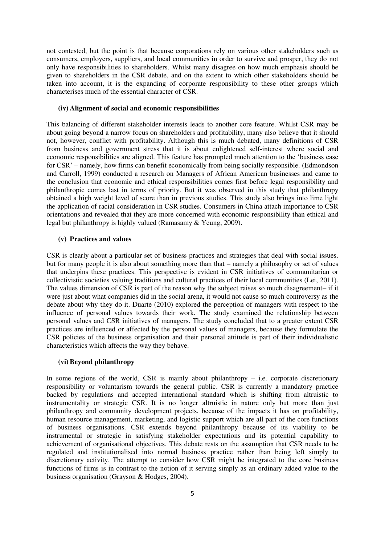not contested, but the point is that because corporations rely on various other stakeholders such as consumers, employers, suppliers, and local communities in order to survive and prosper, they do not only have responsibilities to shareholders. Whilst many disagree on how much emphasis should be given to shareholders in the CSR debate, and on the extent to which other stakeholders should be taken into account, it is the expanding of corporate responsibility to these other groups which characterises much of the essential character of CSR.

#### **(iv) Alignment of social and economic responsibilities**

This balancing of different stakeholder interests leads to another core feature. Whilst CSR may be about going beyond a narrow focus on shareholders and profitability, many also believe that it should not, however, conflict with profitability. Although this is much debated, many definitions of CSR from business and government stress that it is about enlightened self-interest where social and economic responsibilities are aligned. This feature has prompted much attention to the "business case for CSR" – namely, how firms can benefit economically from being socially responsible. (Edmondson and Carroll, 1999) conducted a research on Managers of African American businesses and came to the conclusion that economic and ethical responsibilities comes first before legal responsibility and philanthropic comes last in terms of priority. But it was observed in this study that philanthropy obtained a high weight level of score than in previous studies. This study also brings into lime light the application of racial consideration in CSR studies. Consumers in China attach importance to CSR orientations and revealed that they are more concerned with economic responsibility than ethical and legal but philanthropy is highly valued (Ramasamy & Yeung, 2009).

#### **(v) Practices and values**

CSR is clearly about a particular set of business practices and strategies that deal with social issues, but for many people it is also about something more than that – namely a philosophy or set of values that underpins these practices. This perspective is evident in CSR initiatives of communitarian or collectivistic societies valuing traditions and cultural practices of their local communities (Lei, 2011). The values dimension of CSR is part of the reason why the subject raises so much disagreement– if it were just about what companies did in the social arena, it would not cause so much controversy as the debate about why they do it. Duarte (2010) explored the perception of managers with respect to the influence of personal values towards their work. The study examined the relationship between personal values and CSR initiatives of managers. The study concluded that to a greater extent CSR practices are influenced or affected by the personal values of managers, because they formulate the CSR policies of the business organisation and their personal attitude is part of their individualistic characteristics which affects the way they behave.

#### **(vi) Beyond philanthropy**

In some regions of the world, CSR is mainly about philanthropy  $-$  i.e. corporate discretionary responsibility or voluntarism towards the general public. CSR is currently a mandatory practice backed by regulations and accepted international standard which is shifting from altruistic to instrumentality or strategic CSR. It is no longer altruistic in nature only but more than just philanthropy and community development projects, because of the impacts it has on profitability, human resource management, marketing, and logistic support which are all part of the core functions of business organisations. CSR extends beyond philanthropy because of its viability to be instrumental or strategic in satisfying stakeholder expectations and its potential capability to achievement of organisational objectives. This debate rests on the assumption that CSR needs to be regulated and institutionalised into normal business practice rather than being left simply to discretionary activity. The attempt to consider how CSR might be integrated to the core business functions of firms is in contrast to the notion of it serving simply as an ordinary added value to the business organisation (Grayson & Hodges, 2004).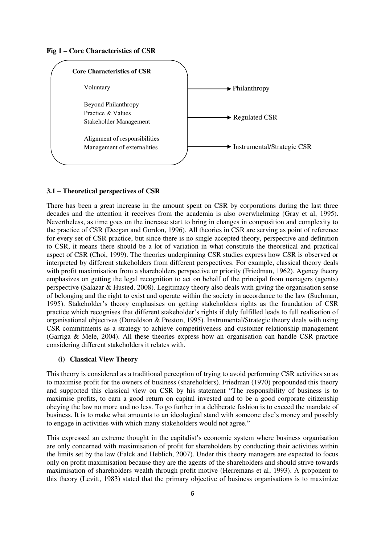



#### **3.1 – Theoretical perspectives of CSR**

There has been a great increase in the amount spent on CSR by corporations during the last three decades and the attention it receives from the academia is also overwhelming (Gray et al, 1995). Nevertheless, as time goes on the increase start to bring in changes in composition and complexity to the practice of CSR (Deegan and Gordon, 1996). All theories in CSR are serving as point of reference for every set of CSR practice, but since there is no single accepted theory, perspective and definition to CSR, it means there should be a lot of variation in what constitute the theoretical and practical aspect of CSR (Choi, 1999). The theories underpinning CSR studies express how CSR is observed or interpreted by different stakeholders from different perspectives. For example, classical theory deals with profit maximisation from a shareholders perspective or priority (Friedman, 1962). Agency theory emphasizes on getting the legal recognition to act on behalf of the principal from managers (agents) perspective (Salazar & Husted, 2008). Legitimacy theory also deals with giving the organisation sense of belonging and the right to exist and operate within the society in accordance to the law (Suchman, 1995). Stakeholder"s theory emphasises on getting stakeholders rights as the foundation of CSR practice which recognises that different stakeholder"s rights if duly fulfilled leads to full realisation of organisational objectives (Donaldson & Preston, 1995). Instrumental/Strategic theory deals with using CSR commitments as a strategy to achieve competitiveness and customer relationship management (Garriga & Mele, 2004). All these theories express how an organisation can handle CSR practice considering different stakeholders it relates with.

#### **(i) Classical View Theory**

This theory is considered as a traditional perception of trying to avoid performing CSR activities so as to maximise profit for the owners of business (shareholders). Friedman (1970) propounded this theory and supported this classical view on CSR by his statement "The responsibility of business is to maximise profits, to earn a good return on capital invested and to be a good corporate citizenship obeying the law no more and no less. To go further in a deliberate fashion is to exceed the mandate of business. It is to make what amounts to an ideological stand with someone else"s money and possibly to engage in activities with which many stakeholders would not agree."

This expressed an extreme thought in the capitalist"s economic system where business organisation are only concerned with maximisation of profit for shareholders by conducting their activities within the limits set by the law (Falck and Heblich, 2007). Under this theory managers are expected to focus only on profit maximisation because they are the agents of the shareholders and should strive towards maximisation of shareholders wealth through profit motive (Herremans et al, 1993). A proponent to this theory (Levitt, 1983) stated that the primary objective of business organisations is to maximize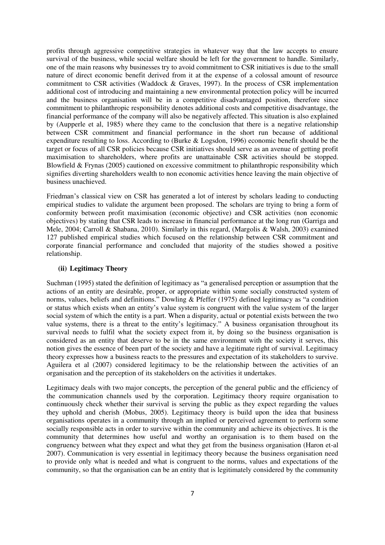profits through aggressive competitive strategies in whatever way that the law accepts to ensure survival of the business, while social welfare should be left for the government to handle. Similarly, one of the main reasons why businesses try to avoid commitment to CSR initiatives is due to the small nature of direct economic benefit derived from it at the expense of a colossal amount of resource commitment to CSR activities (Waddock & Graves, 1997). In the process of CSR implementation additional cost of introducing and maintaining a new environmental protection policy will be incurred and the business organisation will be in a competitive disadvantaged position, therefore since commitment to philanthropic responsibility denotes additional costs and competitive disadvantage, the financial performance of the company will also be negatively affected. This situation is also explained by (Aupperle et al, 1985) where they came to the conclusion that there is a negative relationship between CSR commitment and financial performance in the short run because of additional expenditure resulting to loss. According to (Burke & Logsdon, 1996) economic benefit should be the target or focus of all CSR policies because CSR initiatives should serve as an avenue of getting profit maximisation to shareholders, where profits are unattainable CSR activities should be stopped. Blowfield & Frynas (2005) cautioned on excessive commitment to philanthropic responsibility which signifies diverting shareholders wealth to non economic activities hence leaving the main objective of business unachieved.

Friedman"s classical view on CSR has generated a lot of interest by scholars leading to conducting empirical studies to validate the argument been proposed. The scholars are trying to bring a form of conformity between profit maximisation (economic objective) and CSR activities (non economic objectives) by stating that CSR leads to increase in financial performance at the long run (Garriga and Mele, 2004; Carroll & Shabana, 2010). Similarly in this regard, (Margolis & Walsh, 2003) examined 127 published empirical studies which focused on the relationship between CSR commitment and corporate financial performance and concluded that majority of the studies showed a positive relationship.

#### **(ii) Legitimacy Theory**

Suchman (1995) stated the definition of legitimacy as "a generalised perception or assumption that the actions of an entity are desirable, proper, or appropriate within some socially constructed system of norms, values, beliefs and definitions." Dowling & Pfeffer (1975) defined legitimacy as "a condition or status which exists when an entity"s value system is congruent with the value system of the larger social system of which the entity is a part. When a disparity, actual or potential exists between the two value systems, there is a threat to the entity"s legitimacy." A business organisation throughout its survival needs to fulfil what the society expect from it, by doing so the business organisation is considered as an entity that deserve to be in the same environment with the society it serves, this notion gives the essence of been part of the society and have a legitimate right of survival. Legitimacy theory expresses how a business reacts to the pressures and expectation of its stakeholders to survive. Aguilera et al (2007) considered legitimacy to be the relationship between the activities of an organisation and the perception of its stakeholders on the activities it undertakes.

Legitimacy deals with two major concepts, the perception of the general public and the efficiency of the communication channels used by the corporation. Legitimacy theory require organisation to continuously check whether their survival is serving the public as they expect regarding the values they uphold and cherish (Mobus, 2005). Legitimacy theory is build upon the idea that business organisations operates in a community through an implied or perceived agreement to perform some socially responsible acts in order to survive within the community and achieve its objectives. It is the community that determines how useful and worthy an organisation is to them based on the congruency between what they expect and what they get from the business organisation (Haron et-al 2007). Communication is very essential in legitimacy theory because the business organisation need to provide only what is needed and what is congruent to the norms, values and expectations of the community, so that the organisation can be an entity that is legitimately considered by the community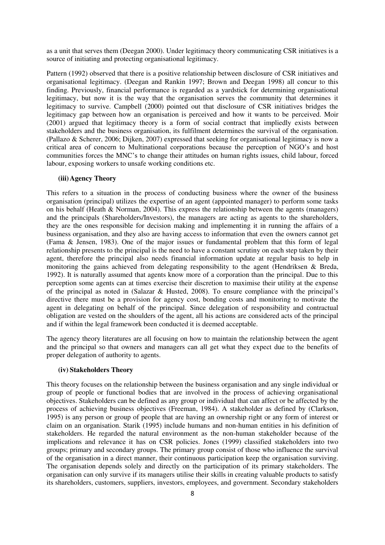as a unit that serves them (Deegan 2000). Under legitimacy theory communicating CSR initiatives is a source of initiating and protecting organisational legitimacy.

Pattern (1992) observed that there is a positive relationship between disclosure of CSR initiatives and organisational legitimacy. (Deegan and Rankin 1997; Brown and Deegan 1998) all concur to this finding. Previously, financial performance is regarded as a yardstick for determining organisational legitimacy, but now it is the way that the organisation serves the community that determines it legitimacy to survive. Campbell (2000) pointed out that disclosure of CSR initiatives bridges the legitimacy gap between how an organisation is perceived and how it wants to be perceived. Moir (2001) argued that legitimacy theory is a form of social contract that impliedly exists between stakeholders and the business organisation, its fulfilment determines the survival of the organisation. (Pallazo & Scherer, 2006; Dijken, 2007) expressed that seeking for organisational legitimacy is now a critical area of concern to Multinational corporations because the perception of NGO"s and host communities forces the MNC"s to change their attitudes on human rights issues, child labour, forced labour, exposing workers to unsafe working conditions etc.

#### **(iii)Agency Theory**

This refers to a situation in the process of conducting business where the owner of the business organisation (principal) utilizes the expertise of an agent (appointed manager) to perform some tasks on his behalf (Heath & Norman, 2004). This express the relationship between the agents (managers) and the principals (Shareholders/Investors), the managers are acting as agents to the shareholders, they are the ones responsible for decision making and implementing it in running the affairs of a business organisation, and they also are having access to information that even the owners cannot get (Fama & Jensen, 1983). One of the major issues or fundamental problem that this form of legal relationship presents to the principal is the need to have a constant scrutiny on each step taken by their agent, therefore the principal also needs financial information update at regular basis to help in monitoring the gains achieved from delegating responsibility to the agent (Hendriksen & Breda, 1992). It is naturally assumed that agents know more of a corporation than the principal. Due to this perception some agents can at times exercise their discretion to maximise their utility at the expense of the principal as noted in (Salazar & Husted, 2008). To ensure compliance with the principal"s directive there must be a provision for agency cost, bonding costs and monitoring to motivate the agent in delegating on behalf of the principal. Since delegation of responsibility and contractual obligation are vested on the shoulders of the agent, all his actions are considered acts of the principal and if within the legal framework been conducted it is deemed acceptable.

The agency theory literatures are all focusing on how to maintain the relationship between the agent and the principal so that owners and managers can all get what they expect due to the benefits of proper delegation of authority to agents.

#### **(iv) Stakeholders Theory**

This theory focuses on the relationship between the business organisation and any single individual or group of people or functional bodies that are involved in the process of achieving organisational objectives. Stakeholders can be defined as any group or individual that can affect or be affected by the process of achieving business objectives (Freeman, 1984). A stakeholder as defined by (Clarkson, 1995) is any person or group of people that are having an ownership right or any form of interest or claim on an organisation. Starik (1995) include humans and non-human entities in his definition of stakeholders. He regarded the natural environment as the non-human stakeholder because of the implications and relevance it has on CSR policies. Jones (1999) classified stakeholders into two groups; primary and secondary groups. The primary group consist of those who influence the survival of the organisation in a direct manner, their continuous participation keep the organisation surviving. The organisation depends solely and directly on the participation of its primary stakeholders. The organisation can only survive if its managers utilise their skills in creating valuable products to satisfy its shareholders, customers, suppliers, investors, employees, and government. Secondary stakeholders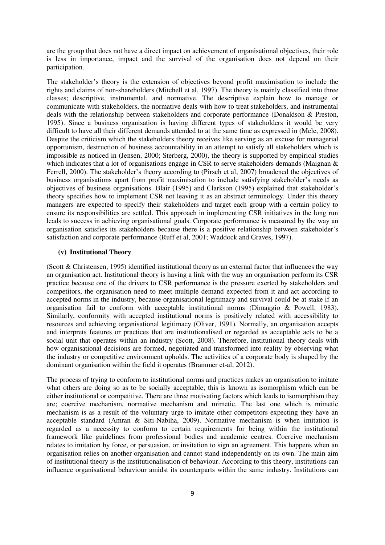are the group that does not have a direct impact on achievement of organisational objectives, their role is less in importance, impact and the survival of the organisation does not depend on their participation.

The stakeholder"s theory is the extension of objectives beyond profit maximisation to include the rights and claims of non-shareholders (Mitchell et al, 1997). The theory is mainly classified into three classes; descriptive, instrumental, and normative. The descriptive explain how to manage or communicate with stakeholders, the normative deals with how to treat stakeholders, and instrumental deals with the relationship between stakeholders and corporate performance (Donaldson & Preston, 1995). Since a business organisation is having different types of stakeholders it would be very difficult to have all their different demands attended to at the same time as expressed in (Mele, 2008). Despite the criticism which the stakeholders theory receives like serving as an excuse for managerial opportunism, destruction of business accountability in an attempt to satisfy all stakeholders which is impossible as noticed in (Jensen, 2000; Sterberg, 2000), the theory is supported by empirical studies which indicates that a lot of organisations engage in CSR to serve stakeholders demands (Maignan & Ferrell, 2000). The stakeholder's theory according to (Pirsch et al, 2007) broadened the objectives of business organisations apart from profit maximisation to include satisfying stakeholder's needs as objectives of business organisations. Blair (1995) and Clarkson (1995) explained that stakeholder"s theory specifies how to implement CSR not leaving it as an abstract terminology. Under this theory managers are expected to specify their stakeholders and target each group with a certain policy to ensure its responsibilities are settled. This approach in implementing CSR initiatives in the long run leads to success in achieving organisational goals. Corporate performance is measured by the way an organisation satisfies its stakeholders because there is a positive relationship between stakeholder"s satisfaction and corporate performance (Ruff et al, 2001; Waddock and Graves, 1997).

# **(v) Institutional Theory**

(Scott & Christensen, 1995) identified institutional theory as an external factor that influences the way an organisation act. Institutional theory is having a link with the way an organisation perform its CSR practice because one of the drivers to CSR performance is the pressure exerted by stakeholders and competitors, the organisation need to meet multiple demand expected from it and act according to accepted norms in the industry, because organisational legitimacy and survival could be at stake if an organisation fail to conform with acceptable institutional norms (Dimaggio & Powell, 1983). Similarly, conformity with accepted institutional norms is positively related with accessibility to resources and achieving organisational legitimacy (Oliver, 1991). Normally, an organisation accepts and interprets features or practices that are institutionalised or regarded as acceptable acts to be a social unit that operates within an industry (Scott, 2008). Therefore, institutional theory deals with how organisational decisions are formed, negotiated and transformed into reality by observing what the industry or competitive environment upholds. The activities of a corporate body is shaped by the dominant organisation within the field it operates (Brammer et-al, 2012).

The process of trying to conform to institutional norms and practices makes an organisation to imitate what others are doing so as to be socially acceptable; this is known as isomorphism which can be either institutional or competitive. There are three motivating factors which leads to isomorphism they are; coercive mechanism, normative mechanism and mimetic. The last one which is mimetic mechanism is as a result of the voluntary urge to imitate other competitors expecting they have an acceptable standard (Amran & Siti-Nabiha, 2009). Normative mechanism is when imitation is regarded as a necessity to conform to certain requirements for being within the institutional framework like guidelines from professional bodies and academic centres. Coercive mechanism relates to imitation by force, or persuasion, or invitation to sign an agreement. This happens when an organisation relies on another organisation and cannot stand independently on its own. The main aim of institutional theory is the institutionalisation of behaviour. According to this theory, institutions can influence organisational behaviour amidst its counterparts within the same industry. Institutions can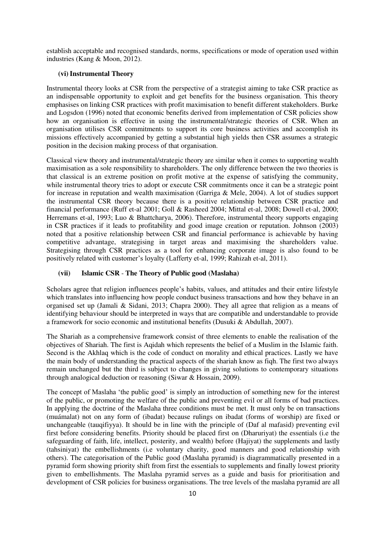establish acceptable and recognised standards, norms, specifications or mode of operation used within industries (Kang & Moon, 2012).

# **(vi)Instrumental Theory**

Instrumental theory looks at CSR from the perspective of a strategist aiming to take CSR practice as an indispensable opportunity to exploit and get benefits for the business organisation. This theory emphasises on linking CSR practices with profit maximisation to benefit different stakeholders. Burke and Logsdon (1996) noted that economic benefits derived from implementation of CSR policies show how an organisation is effective in using the instrumental/strategic theories of CSR. When an organisation utilises CSR commitments to support its core business activities and accomplish its missions effectively accompanied by getting a substantial high yields then CSR assumes a strategic position in the decision making process of that organisation.

Classical view theory and instrumental/strategic theory are similar when it comes to supporting wealth maximisation as a sole responsibility to shareholders. The only difference between the two theories is that classical is an extreme position on profit motive at the expense of satisfying the community, while instrumental theory tries to adopt or execute CSR commitments once it can be a strategic point for increase in reputation and wealth maximisation (Garriga & Mele, 2004). A lot of studies support the instrumental CSR theory because there is a positive relationship between CSR practice and financial performance (Ruff et-al 2001; Goll & Rasheed 2004; Mittal et-al, 2008; Dowell et-al, 2000; Herremans et-al, 1993; Luo & Bhattcharya, 2006). Therefore, instrumental theory supports engaging in CSR practices if it leads to profitability and good image creation or reputation. Johnson (2003) noted that a positive relationship between CSR and financial performance is achievable by having competitive advantage, strategising in target areas and maximising the shareholders value. Strategising through CSR practices as a tool for enhancing corporate image is also found to be positively related with customer"s loyalty (Lafferty et-al, 1999; Rahizah et-al, 2011).

# **(vii) Islamic CSR** - **The Theory of Public good (Maslaha)**

Scholars agree that religion influences people"s habits, values, and attitudes and their entire lifestyle which translates into influencing how people conduct business transactions and how they behave in an organised set up (Jamali & Sidani, 2013; Chapra 2000). They all agree that religion as a means of identifying behaviour should be interpreted in ways that are compatible and understandable to provide a framework for socio economic and institutional benefits (Dusuki & Abdullah, 2007).

The Shariah as a comprehensive framework consist of three elements to enable the realisation of the objectives of Shariah. The first is Aqidah which represents the belief of a Muslim in the Islamic faith. Second is the Akhlaq which is the code of conduct on morality and ethical practices. Lastly we have the main body of understanding the practical aspects of the shariah know as fiqh. The first two always remain unchanged but the third is subject to changes in giving solutions to contemporary situations through analogical deduction or reasoning (Siwar & Hossain, 2009).

The concept of Maslaha "the public good" is simply an introduction of something new for the interest of the public, or promoting the welfare of the public and preventing evil or all forms of bad practices. In applying the doctrine of the Maslaha three conditions must be met. It must only be on transactions (muámalat) not on any form of (ibadat) because rulings on ibadat (forms of worship) are fixed or unchangeable (tauqifiyya). It should be in line with the principle of (Daf al mafasid) preventing evil first before considering benefits. Priority should be placed first on (Dharuriyat) the essentials (i.e the safeguarding of faith, life, intellect, posterity, and wealth) before (Hajiyat) the supplements and lastly (tahsiniyat) the embellishments (i.e voluntary charity, good manners and good relationship with others). The categorisation of the Public good (Maslaha pyramid) is diagrammatically presented in a pyramid form showing priority shift from first the essentials to supplements and finally lowest priority given to embellishments. The Maslaha pyramid serves as a guide and basis for prioritisation and development of CSR policies for business organisations. The tree levels of the maslaha pyramid are all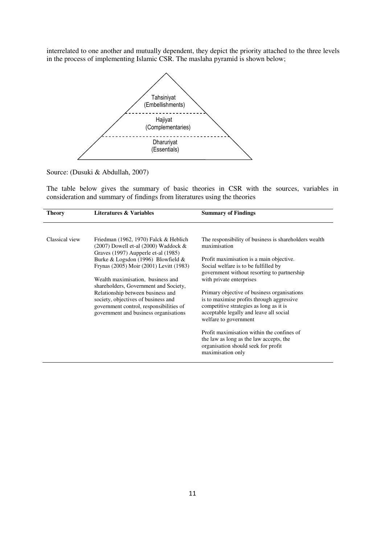interrelated to one another and mutually dependent, they depict the priority attached to the three levels in the process of implementing Islamic CSR. The maslaha pyramid is shown below;



Source: (Dusuki & Abdullah, 2007)

The table below gives the summary of basic theories in CSR with the sources, variables in consideration and summary of findings from literatures using the theories

| <b>Theory</b>  | <b>Literatures &amp; Variables</b>                                                                                   | <b>Summary of Findings</b>                                                                                  |
|----------------|----------------------------------------------------------------------------------------------------------------------|-------------------------------------------------------------------------------------------------------------|
|                |                                                                                                                      |                                                                                                             |
| Classical view | Friedman (1962, 1970) Falck & Heblich<br>(2007) Dowell et-al (2000) Waddock &<br>Graves (1997) Aupperle et-al (1985) | The responsibility of business is shareholders wealth<br>maximisation                                       |
|                | Burke & Logsdon (1996) Blowfield &                                                                                   | Profit maximisation is a main objective.                                                                    |
|                | Frynas (2005) Moir (2001) Levitt (1983)                                                                              | Social welfare is to be fulfilled by<br>government without resorting to partnership                         |
|                | Wealth maximisation, business and<br>shareholders, Government and Society,                                           | with private enterprises                                                                                    |
|                | Relationship between business and<br>society, objectives of business and                                             | Primary objective of business organisations<br>is to maximise profits through aggressive                    |
|                | government control, responsibilities of<br>government and business organisations                                     | competitive strategies as long as it is<br>acceptable legally and leave all social<br>welfare to government |
|                |                                                                                                                      |                                                                                                             |
|                |                                                                                                                      | Profit maximisation within the confines of                                                                  |
|                |                                                                                                                      | the law as long as the law accepts, the                                                                     |
|                |                                                                                                                      | organisation should seek for profit                                                                         |
|                |                                                                                                                      | maximisation only                                                                                           |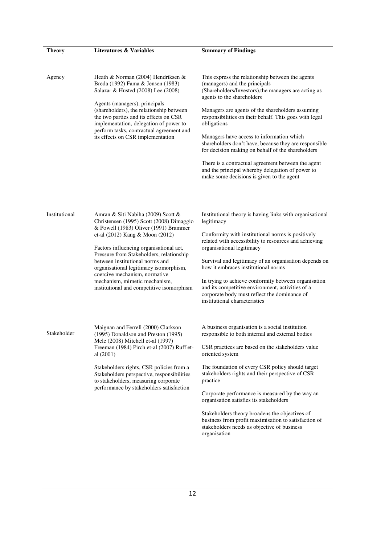| <b>Theory</b> | <b>Literatures &amp; Variables</b>                                                                                                                                                                                                                                                                                                                                                                                                            | <b>Summary of Findings</b>                                                                                                                                                                                                                                                                                                                                                                                                                                                                                                                                                                                             |
|---------------|-----------------------------------------------------------------------------------------------------------------------------------------------------------------------------------------------------------------------------------------------------------------------------------------------------------------------------------------------------------------------------------------------------------------------------------------------|------------------------------------------------------------------------------------------------------------------------------------------------------------------------------------------------------------------------------------------------------------------------------------------------------------------------------------------------------------------------------------------------------------------------------------------------------------------------------------------------------------------------------------------------------------------------------------------------------------------------|
| Agency        | Heath & Norman (2004) Hendriksen &<br>Breda (1992) Fama & Jensen (1983)<br>Salazar & Husted (2008) Lee (2008)<br>Agents (managers), principals<br>(shareholders), the relationship between<br>the two parties and its effects on CSR<br>implementation, delegation of power to<br>perform tasks, contractual agreement and<br>its effects on CSR implementation                                                                               | This express the relationship between the agents<br>(managers) and the principals<br>(Shareholders/Investors), the managers are acting as<br>agents to the shareholders<br>Managers are agents of the shareholders assuming<br>responsibilities on their behalf. This goes with legal<br>obligations<br>Managers have access to information which<br>shareholders don't have, because they are responsible<br>for decision making on behalf of the shareholders<br>There is a contractual agreement between the agent<br>and the principal whereby delegation of power to<br>make some decisions is given to the agent |
| Institutional | Amran & Siti Nabiha (2009) Scott &<br>Christensen (1995) Scott (2008) Dimaggio<br>& Powell (1983) Oliver (1991) Brammer<br>et-al (2012) Kang & Moon (2012)<br>Factors influencing organisational act,<br>Pressure from Stakeholders, relationship<br>between institutional norms and<br>organisational legitimacy isomorphism,<br>coercive mechanism, normative<br>mechanism, mimetic mechanism,<br>institutional and competitive isomorphism | Institutional theory is having links with organisational<br>legitimacy<br>Conformity with institutional norms is positively<br>related with accessibility to resources and achieving<br>organisational legitimacy<br>Survival and legitimacy of an organisation depends on<br>how it embraces institutional norms<br>In trying to achieve conformity between organisation<br>and its competitive environment, activities of a<br>corporate body must reflect the dominance of<br>institutional characteristics                                                                                                         |
| Stakeholder   | Maignan and Ferrell (2000) Clarkson<br>(1995) Donaldson and Preston (1995)<br>Mele (2008) Mitchell et-al (1997)<br>Freeman (1984) Pirch et-al (2007) Ruff et-<br>al $(2001)$<br>Stakeholders rights, CSR policies from a<br>Stakeholders perspective, responsibilities<br>to stakeholders, measuring corporate<br>performance by stakeholders satisfaction                                                                                    | A business organisation is a social institution<br>responsible to both internal and external bodies<br>CSR practices are based on the stakeholders value<br>oriented system<br>The foundation of every CSR policy should target<br>stakeholders rights and their perspective of CSR<br>practice<br>Corporate performance is measured by the way an<br>organisation satisfies its stakeholders<br>Stakeholders theory broadens the objectives of<br>business from profit maximisation to satisfaction of<br>stakeholders needs as objective of business<br>organisation                                                 |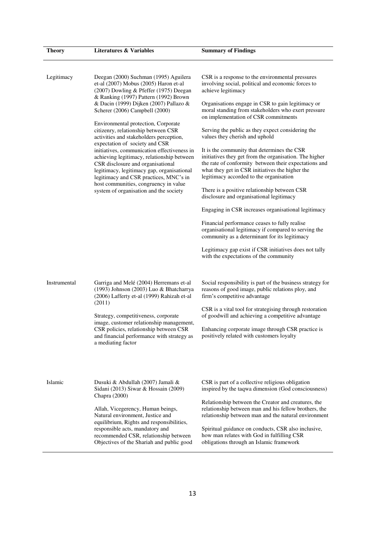| <b>Theory</b> | <b>Literatures &amp; Variables</b>                                                                                                                                                                                                                                                                                                                                                                                                                                                                                                                                                                                                                                                                                    | <b>Summary of Findings</b>                                                                                                                                                                                                                                                                                                                                                                                                                                                                                                                                                                                                                                                                                                                                                                                                                                                                                                                                                                                                                               |
|---------------|-----------------------------------------------------------------------------------------------------------------------------------------------------------------------------------------------------------------------------------------------------------------------------------------------------------------------------------------------------------------------------------------------------------------------------------------------------------------------------------------------------------------------------------------------------------------------------------------------------------------------------------------------------------------------------------------------------------------------|----------------------------------------------------------------------------------------------------------------------------------------------------------------------------------------------------------------------------------------------------------------------------------------------------------------------------------------------------------------------------------------------------------------------------------------------------------------------------------------------------------------------------------------------------------------------------------------------------------------------------------------------------------------------------------------------------------------------------------------------------------------------------------------------------------------------------------------------------------------------------------------------------------------------------------------------------------------------------------------------------------------------------------------------------------|
| Legitimacy    | Deegan (2000) Suchman (1995) Aguilera<br>et-al (2007) Mobus (2005) Haron et-al<br>(2007) Dowling & Pfeffer (1975) Deegan<br>& Ranking (1997) Pattern (1992) Brown<br>& Dacin (1999) Dijken (2007) Pallazo &<br>Scherer (2006) Campbell (2000)<br>Environmental protection, Corporate<br>citizenry, relationship between CSR<br>activities and stakeholders perception,<br>expectation of society and CSR<br>initiatives, communication effectiveness in<br>achieving legitimacy, relationship between<br>CSR disclosure and organisational<br>legitimacy, legitimacy gap, organisational<br>legitimacy and CSR practices, MNC's in<br>host communities, congruency in value<br>system of organisation and the society | CSR is a response to the environmental pressures<br>involving social, political and economic forces to<br>achieve legitimacy<br>Organisations engage in CSR to gain legitimacy or<br>moral standing from stakeholders who exert pressure<br>on implementation of CSR commitments<br>Serving the public as they expect considering the<br>values they cherish and uphold<br>It is the community that determines the CSR<br>initiatives they get from the organisation. The higher<br>the rate of conformity between their expectations and<br>what they get in CSR initiatives the higher the<br>legitimacy accorded to the organisation<br>There is a positive relationship between CSR<br>disclosure and organisational legitimacy<br>Engaging in CSR increases organisational legitimacy<br>Financial performance ceases to fully realise<br>organisational legitimacy if compared to serving the<br>community as a determinant for its legitimacy<br>Legitimacy gap exist if CSR initiatives does not tally<br>with the expectations of the community |
| Instrumental  | Garriga and Melé (2004) Herremans et-al<br>(1993) Johnson (2003) Luo & Bhatcharrya<br>(2006) Lafferty et-al (1999) Rahizah et-al<br>(2011)<br>Strategy, competitiveness, corporate<br>image, customer relationship management,<br>CSR policies, relationship between CSR<br>and financial performance with strategy as<br>a mediating factor                                                                                                                                                                                                                                                                                                                                                                          | Social responsibility is part of the business strategy for<br>reasons of good image, public relations ploy, and<br>firm's competitive advantage<br>CSR is a vital tool for strategising through restoration<br>of goodwill and achieving a competitive advantage<br>Enhancing corporate image through CSR practice is<br>positively related with customers loyalty                                                                                                                                                                                                                                                                                                                                                                                                                                                                                                                                                                                                                                                                                       |
| Islamic       | Dusuki & Abdullah (2007) Jamali &<br>Sidani (2013) Siwar & Hossain (2009)<br>Chapra (2000)<br>Allah, Vicegerency, Human beings,<br>Natural environment, Justice and<br>equilibrium, Rights and responsibilities,<br>responsible acts, mandatory and<br>recommended CSR, relationship between<br>Objectives of the Shariah and public good                                                                                                                                                                                                                                                                                                                                                                             | CSR is part of a collective religious obligation<br>inspired by the taqwa dimension (God consciousness)<br>Relationship between the Creator and creatures, the<br>relationship between man and his fellow brothers, the<br>relationship between man and the natural environment<br>Spiritual guidance on conducts, CSR also inclusive,<br>how man relates with God in fulfilling CSR<br>obligations through an Islamic framework                                                                                                                                                                                                                                                                                                                                                                                                                                                                                                                                                                                                                         |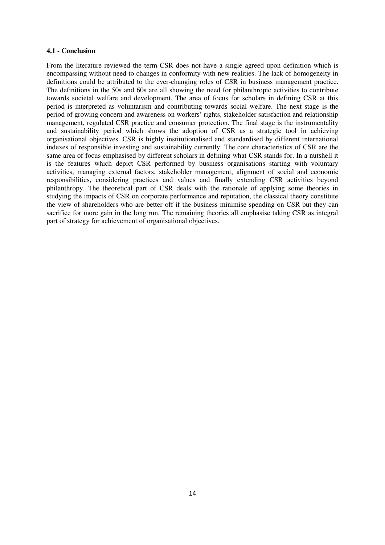#### **4.1 - Conclusion**

From the literature reviewed the term CSR does not have a single agreed upon definition which is encompassing without need to changes in conformity with new realities. The lack of homogeneity in definitions could be attributed to the ever-changing roles of CSR in business management practice. The definitions in the 50s and 60s are all showing the need for philanthropic activities to contribute towards societal welfare and development. The area of focus for scholars in defining CSR at this period is interpreted as voluntarism and contributing towards social welfare. The next stage is the period of growing concern and awareness on workers" rights, stakeholder satisfaction and relationship management, regulated CSR practice and consumer protection. The final stage is the instrumentality and sustainability period which shows the adoption of CSR as a strategic tool in achieving organisational objectives. CSR is highly institutionalised and standardised by different international indexes of responsible investing and sustainability currently. The core characteristics of CSR are the same area of focus emphasised by different scholars in defining what CSR stands for. In a nutshell it is the features which depict CSR performed by business organisations starting with voluntary activities, managing external factors, stakeholder management, alignment of social and economic responsibilities, considering practices and values and finally extending CSR activities beyond philanthropy. The theoretical part of CSR deals with the rationale of applying some theories in studying the impacts of CSR on corporate performance and reputation, the classical theory constitute the view of shareholders who are better off if the business minimise spending on CSR but they can sacrifice for more gain in the long run. The remaining theories all emphasise taking CSR as integral part of strategy for achievement of organisational objectives.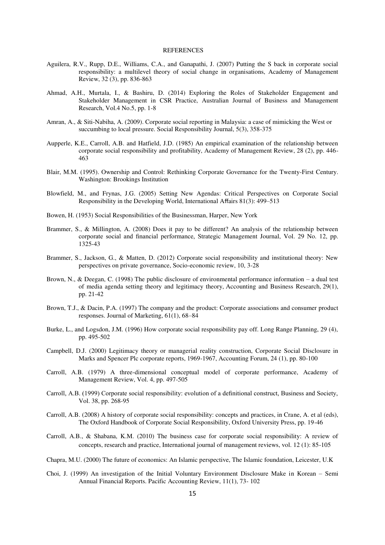#### REFERENCES

- Aguilera, R.V., Rupp, D.E., Williams, C.A., and Ganapathi, J. (2007) Putting the S back in corporate social responsibility: a multilevel theory of social change in organisations, Academy of Management Review, 32 (3), pp. 836-863
- Ahmad, A.H., Murtala, I., & Bashiru, D. (2014) Exploring the Roles of Stakeholder Engagement and Stakeholder Management in CSR Practice, Australian Journal of Business and Management Research, Vol.4 No.5, pp. 1-8
- Amran, A., & Siti-Nabiha, A. (2009). Corporate social reporting in Malaysia: a case of mimicking the West or succumbing to local pressure. Social Responsibility Journal, 5(3), 358-375
- Aupperle, K.E., Carroll, A.B. and Hatfield, J.D. (1985) An empirical examination of the relationship between corporate social responsibility and profitability, Academy of Management Review, 28 (2), pp. 446- 463
- Blair, M.M. (1995). Ownership and Control: Rethinking Corporate Governance for the Twenty-First Century. Washington: Brookings Institution
- Blowfield, M., and Frynas, J.G. (2005) Setting New Agendas: Critical Perspectives on Corporate Social Responsibility in the Developing World, International Affairs 81(3): 499–513
- Bowen, H. (1953) Social Responsibilities of the Businessman, Harper, New York
- Brammer, S., & Millington, A. (2008) Does it pay to be different? An analysis of the relationship between corporate social and financial performance, Strategic Management Journal, Vol. 29 No. 12, pp. 1325-43
- Brammer, S., Jackson, G., & Matten, D. (2012) Corporate social responsibility and institutional theory: New perspectives on private governance, Socio-economic review, 10, 3-28
- Brown, N., & Deegan, C. (1998) The public disclosure of environmental performance information a dual test of media agenda setting theory and legitimacy theory, Accounting and Business Research, 29(1), pp. 21-42
- Brown, T.J., & Dacin, P.A. (1997) The company and the product: Corporate associations and consumer product responses. Journal of Marketing, 61(1), 68–84
- Burke, L., and Logsdon, J.M. (1996) How corporate social responsibility pay off. Long Range Planning, 29 (4), pp. 495-502
- Campbell, D.J. (2000) Legitimacy theory or managerial reality construction, Corporate Social Disclosure in Marks and Spencer Plc corporate reports, 1969-1967, Accounting Forum, 24 (1), pp. 80-100
- Carroll, A.B. (1979) A three-dimensional conceptual model of corporate performance, Academy of Management Review, Vol. 4, pp. 497-505
- Carroll, A.B. (1999) Corporate social responsibility: evolution of a definitional construct, Business and Society, Vol. 38, pp. 268-95
- Carroll, A.B. (2008) A history of corporate social responsibility: concepts and practices, in Crane, A. et al (eds), The Oxford Handbook of Corporate Social Responsibility, Oxford University Press, pp. 19-46
- Carroll, A.B., & Shabana, K.M. (2010) The business case for corporate social responsibility: A review of concepts, research and practice, International journal of management reviews, vol. 12 (1): 85-105
- Chapra, M.U. (2000) The future of economics: An Islamic perspective, The Islamic foundation, Leicester, U.K
- Choi, J. (1999) An investigation of the Initial Voluntary Environment Disclosure Make in Korean Semi Annual Financial Reports. Pacific Accounting Review, 11(1), 73- 102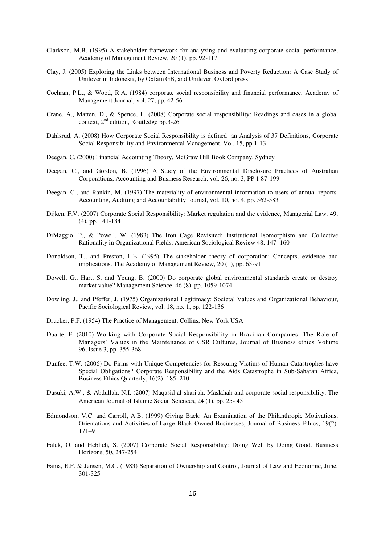- Clarkson, M.B. (1995) A stakeholder framework for analyzing and evaluating corporate social performance, Academy of Management Review, 20 (1), pp. 92-117
- Clay, J. (2005) Exploring the Links between International Business and Poverty Reduction: A Case Study of Unilever in Indonesia, by Oxfam GB, and Unilever, Oxford press
- Cochran, P.L., & Wood, R.A. (1984) corporate social responsibility and financial performance, Academy of Management Journal, vol. 27, pp. 42-56
- Crane, A., Matten, D., & Spence, L. (2008) Corporate social responsibility: Readings and cases in a global context,  $2<sup>nd</sup>$  edition, Routledge pp.3-26
- Dahlsrud, A. (2008) How Corporate Social Responsibility is defined: an Analysis of 37 Definitions, Corporate Social Responsibility and Environmental Management, Vol. 15, pp.1-13
- Deegan, C. (2000) Financial Accounting Theory, McGraw Hill Book Company, Sydney
- Deegan, C., and Gordon, B. (1996) A Study of the Environmental Disclosure Practices of Australian Corporations, Accounting and Business Research, vol. 26, no. 3, PP.1 87-199
- Deegan, C., and Rankin, M. (1997) The materiality of environmental information to users of annual reports. Accounting, Auditing and Accountability Journal, vol. 10, no. 4, pp. 562-583
- Dijken, F.V. (2007) Corporate Social Responsibility: Market regulation and the evidence, Managerial Law, 49, (4), pp. 141-184
- DiMaggio, P., & Powell, W. (1983) The Iron Cage Revisited: Institutional Isomorphism and Collective Rationality in Organizational Fields, American Sociological Review 48, 147–160
- Donaldson, T., and Preston, L.E. (1995) The stakeholder theory of corporation: Concepts, evidence and implications. The Academy of Management Review, 20 (1), pp. 65-91
- Dowell, G., Hart, S. and Yeung, B. (2000) Do corporate global environmental standards create or destroy market value? Management Science, 46 (8), pp. 1059-1074
- Dowling, J., and Pfeffer, J. (1975) Organizational Legitimacy: Societal Values and Organizational Behaviour, Pacific Sociological Review, vol. 18, no. 1, pp. 122-136
- Drucker, P.F. (1954) The Practice of Management, Collins, New York USA
- Duarte, F. (2010) Working with Corporate Social Responsibility in Brazilian Companies: The Role of Managers" Values in the Maintenance of CSR Cultures, Journal of Business ethics Volume 96, Issue 3, pp. 355-368
- Dunfee, T.W. (2006) Do Firms with Unique Competencies for Rescuing Victims of Human Catastrophes have Special Obligations? Corporate Responsibility and the Aids Catastrophe in Sub-Saharan Africa, Business Ethics Quarterly, 16(2): 185–210
- Dusuki, A.W., & Abdullah, N.I. (2007) Maqasid al-shari'ah, Maslahah and corporate social responsibility, The American Journal of Islamic Social Sciences, 24 (1), pp. 25- 45
- Edmondson, V.C. and Carroll, A.B. (1999) Giving Back: An Examination of the Philanthropic Motivations, Orientations and Activities of Large Black-Owned Businesses, Journal of Business Ethics, 19(2): 171–9
- Falck, O. and Heblich, S. (2007) Corporate Social Responsibility: Doing Well by Doing Good. Business Horizons, 50, 247-254
- Fama, E.F. & Jensen, M.C. (1983) Separation of Ownership and Control, Journal of Law and Economic, June, 301-325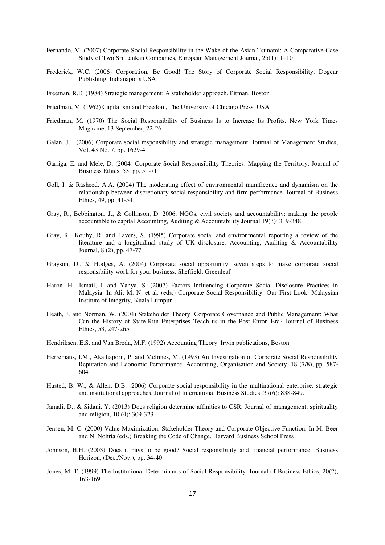- Fernando, M. (2007) Corporate Social Responsibility in the Wake of the Asian Tsunami: A Comparative Case Study of Two Sri Lankan Companies, European Management Journal, 25(1): 1–10
- Frederick, W.C. (2006) Corporation, Be Good! The Story of Corporate Social Responsibility, Dogear Publishing, Indianapolis USA
- Freeman, R.E. (1984) Strategic management: A stakeholder approach, Pitman, Boston
- Friedman, M. (1962) Capitalism and Freedom, The University of Chicago Press, USA
- Friedman, M. (1970) The Social Responsibility of Business Is to Increase Its Profits. New York Times Magazine, 13 September, 22-26
- Galan, J.I. (2006) Corporate social responsibility and strategic management, Journal of Management Studies, Vol. 43 No. 7, pp. 1629-41
- Garriga, E. and Mele, D. (2004) Corporate Social Responsibility Theories: Mapping the Territory, Journal of Business Ethics, 53, pp. 51-71
- Goll, I. & Rasheed, A.A. (2004) The moderating effect of environmental munificence and dynamism on the relationship between discretionary social responsibility and firm performance. Journal of Business Ethics, 49, pp. 41-54
- Gray, R., Bebbington, J., & Collinson, D. 2006. NGOs, civil society and accountability: making the people accountable to capital Accounting, Auditing & Accountability Journal 19(3): 319-348
- Gray, R., Kouhy, R. and Lavers, S. (1995) Corporate social and environmental reporting a review of the literature and a longitudinal study of UK disclosure. Accounting, Auditing & Accountability Journal, 8 (2), pp. 47-77
- Grayson, D., & Hodges, A. (2004) Corporate social opportunity: seven steps to make corporate social responsibility work for your business. Sheffield: Greenleaf
- Haron, H., Ismail, I. and Yahya, S. (2007) Factors Influencing Corporate Social Disclosure Practices in Malaysia. In Ali, M. N. et al. (eds.) Corporate Social Responsibility: Our First Look. Malaysian Institute of Integrity, Kuala Lumpur
- Heath, J. and Norman, W. (2004) Stakeholder Theory, Corporate Governance and Public Management: What Can the History of State-Run Enterprises Teach us in the Post-Enron Era? Journal of Business Ethics, 53, 247-265
- Hendriksen, E.S. and Van Breda, M.F. (1992) Accounting Theory. Irwin publications, Boston
- Herremans, I.M., Akathaporn, P. and McInnes, M. (1993) An Investigation of Corporate Social Responsibility Reputation and Economic Performance. Accounting, Organisation and Society, 18 (7/8), pp. 587- 604
- Husted, B. W., & Allen, D.B. (2006) Corporate social responsibility in the multinational enterprise: strategic and institutional approaches. Journal of International Business Studies, 37(6): 838-849.
- Jamali, D., & Sidani, Y. (2013) Does religion determine affinities to CSR, Journal of management, spirituality and religion, 10 (4): 309-323
- Jensen, M. C. (2000) Value Maximization, Stakeholder Theory and Corporate Objective Function, In M. Beer and N. Nohria (eds.) Breaking the Code of Change. Harvard Business School Press
- Johnson, H.H. (2003) Does it pays to be good? Social responsibility and financial performance, Business Horizon, (Dec./Nov.), pp. 34-40
- Jones, M. T. (1999) The Institutional Determinants of Social Responsibility. Journal of Business Ethics, 20(2), 163-169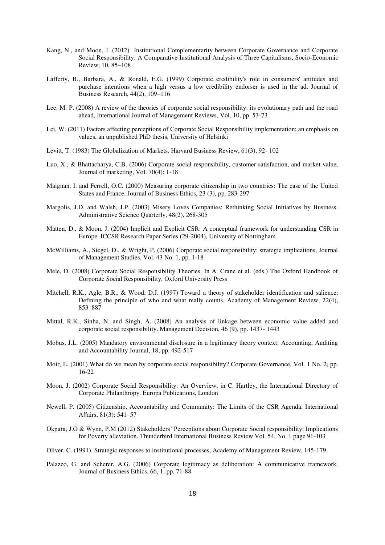- Kang, N., and Moon, J. (2012) Institutional Complementarity between Corporate Governance and Corporate Social Responsibility: A Comparative Institutional Analysis of Three Capitalisms, Socio-Economic Review, 10, 85–108
- Lafferty, B., Barbara, A., & Ronald, E.G. (1999) Corporate credibility's role in consumers' attitudes and purchase intentions when a high versus a low credibility endorser is used in the ad. Journal of Business Research, 44(2), 109–116
- Lee, M. P. (2008) A review of the theories of corporate social responsibility: its evolutionary path and the road ahead, International Journal of Management Reviews, Vol. 10, pp. 53-73
- Lei, W. (2011) Factors affecting perceptions of Corporate Social Responsibility implementation: an emphasis on values, an unpublished PhD thesis, University of Helsinki
- Levitt, T. (1983) The Globalization of Markets. Harvard Business Review, 61(3), 92- 102
- Luo, X., & Bhattacharya, C.B. (2006) Corporate social responsibility, customer satisfaction, and market value, Journal of marketing, Vol. 70(4): 1-18
- Maignan, I. and Ferrell, O.C. (2000) Measuring corporate citizenship in two countries: The case of the United States and France. Journal of Business Ethics, 23 (3), pp. 283-297
- Margolis, J.D. and Walsh, J.P. (2003) Misery Loves Companies: Rethinking Social Initiatives by Business. Administrative Science Quarterly, 48(2), 268-305
- Matten, D., & Moon, J. (2004) Implicit and Explicit CSR: A conceptual framework for understanding CSR in Europe. ICCSR Research Paper Series (29-2004), University of Nottingham
- McWilliams, A., Siegel, D., & Wright, P. (2006) Corporate social responsibility: strategic implications, Journal of Management Studies, Vol. 43 No. 1, pp. 1-18
- Mele, D. (2008) Corporate Social Responsibility Theories, In A. Crane et al. (eds.) The Oxford Handbook of Corporate Social Responsibility, Oxford University Press
- Mitchell, R.K., Agle, B.R., & Wood, D.J. (1997) Toward a theory of stakeholder identification and salience: Defining the principle of who and what really counts. Academy of Management Review, 22(4), 853–887
- Mittal, R.K., Sinha, N. and Singh, A. (2008) An analysis of linkage between economic value added and corporate social responsibility. Management Decision, 46 (9), pp. 1437- 1443
- Mobus, J.L. (2005) Mandatory environmental disclosure in a legitimacy theory context; Accounting, Auditing and Accountability Journal, 18, pp. 492-517
- Moir, L. (2001) What do we mean by corporate social responsibility? Corporate Governance, Vol. 1 No. 2, pp. 16-22
- Moon, J. (2002) Corporate Social Responsibility: An Overview, in C. Hartley, the International Directory of Corporate Philanthropy. Europa Publications, London
- Newell, P. (2005) Citizenship, Accountability and Community: The Limits of the CSR Agenda. International Affairs, 81(3): 541–57
- Okpara, J.O & Wynn, P.M (2012) Stakeholders" Perceptions about Corporate Social responsibility: Implications for Poverty alleviation. Thunderbird International Business Review Vol. 54, No. 1 page 91-103
- Oliver, C. (1991). Strategic responses to institutional processes, Academy of Management Review, 145-179
- Palazzo, G. and Scherer, A.G. (2006) Corporate legitimacy as deliberation: A communicative framework. Journal of Business Ethics, 66, 1, pp. 71-88